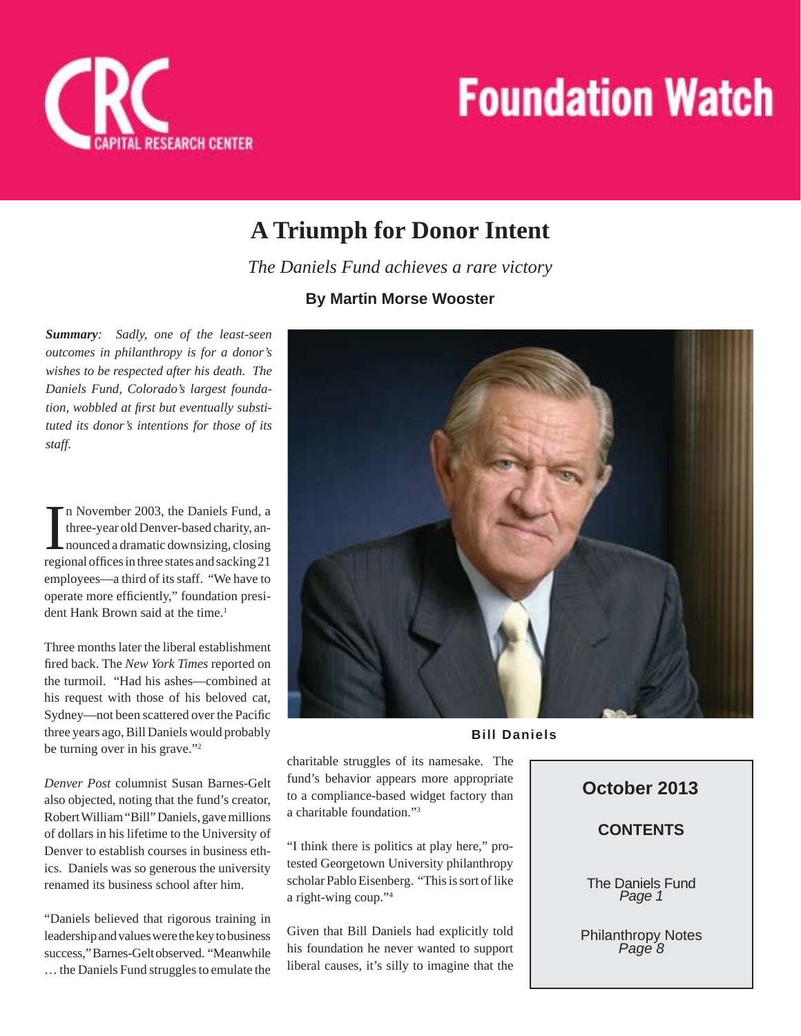



## **A Triumph for Donor Intent**

*The Daniels Fund achieves a rare victory*

## **By Martin Morse Wooster**

*Summary: Sadly, one of the least-seen outcomes in philanthropy is for a donor's wishes to be respected after his death. The Daniels Fund, Colorado's largest foundation, wobbled at first but eventually substituted its donor's intentions for those of its staff.*

In November 2003, the Daniels Fund, a<br>three-year old Denver-based charity, an-<br>nounced a dramatic downsizing, closing<br>regional offices in three states and sacking 21 n November 2003, the Daniels Fund, a three-year old Denver-based charity, announced a dramatic downsizing, closing employees—a third of its staff. "We have to operate more efficiently," foundation president Hank Brown said at the time.<sup>1</sup>

Three months later the liberal establishment fired back. The New York Times reported on the turmoil. "Had his ashes—combined at his request with those of his beloved cat, Sydney—not been scattered over the Pacific three years ago, Bill Daniels would probably be turning over in his grave."2

*Denver Post* columnist Susan Barnes-Gelt also objected, noting that the fund's creator, Robert William "Bill" Daniels, gave millions of dollars in his lifetime to the University of Denver to establish courses in business ethics. Daniels was so generous the university renamed its business school after him.

"Daniels believed that rigorous training in leadership and values were the key to business success," Barnes-Gelt observed. "Meanwhile … the Daniels Fund struggles to emulate the



**Bill Daniels**

charitable struggles of its namesake. The fund's behavior appears more appropriate to a compliance-based widget factory than a charitable foundation."3

"I think there is politics at play here," protested Georgetown University philanthropy scholar Pablo Eisenberg. "This is sort of like a right-wing coup."4

Given that Bill Daniels had explicitly told his foundation he never wanted to support liberal causes, it's silly to imagine that the

## **October 2013**

## **CONTENTS**

The Daniels Fund *Page 1*

Philanthropy Notes *Page 8*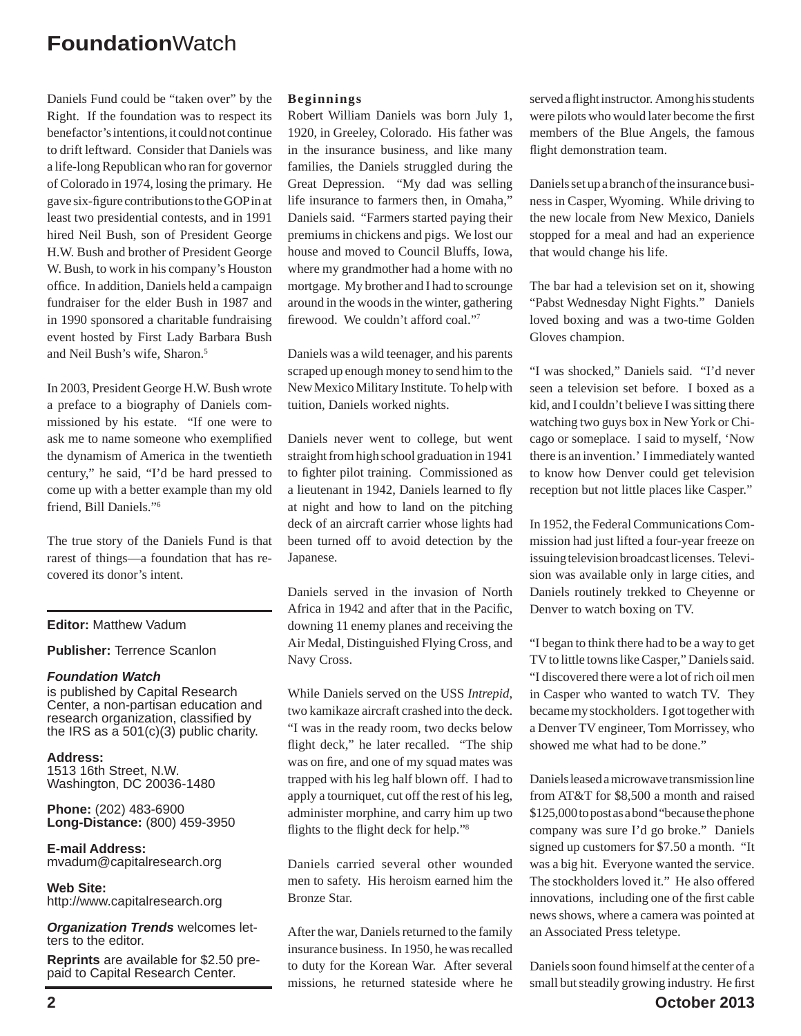Daniels Fund could be "taken over" by the Right. If the foundation was to respect its benefactor's intentions, it could not continue to drift leftward. Consider that Daniels was a life-long Republican who ran for governor of Colorado in 1974, losing the primary. He gave six-figure contributions to the GOP in at least two presidential contests, and in 1991 hired Neil Bush, son of President George H.W. Bush and brother of President George W. Bush, to work in his company's Houston office. In addition, Daniels held a campaign fundraiser for the elder Bush in 1987 and in 1990 sponsored a charitable fundraising event hosted by First Lady Barbara Bush and Neil Bush's wife, Sharon.5

In 2003, President George H.W. Bush wrote a preface to a biography of Daniels commissioned by his estate. "If one were to ask me to name someone who exemplified the dynamism of America in the twentieth century," he said, "I'd be hard pressed to come up with a better example than my old friend, Bill Daniels."6

The true story of the Daniels Fund is that rarest of things—a foundation that has recovered its donor's intent.

### **Editor:** Matthew Vadum

#### **Publisher:** Terrence Scanlon

#### *Foundation Watch*

is published by Capital Research Center, a non-partisan education and research organization, classified by the IRS as a  $501(c)(3)$  public charity.

**Address:** 1513 16th Street, N.W. Washington, DC 20036-1480

**Phone:** (202) 483-6900 **Long-Distance:** (800) 459-3950

**E-mail Address:** mvadum@capitalresearch.org

**Web Site:** http://www.capitalresearch.org

*Organization Trends* welcomes letters to the editor.

**Reprints** are available for \$2.50 prepaid to Capital Research Center.

#### **Beginnings**

Robert William Daniels was born July 1, 1920, in Greeley, Colorado. His father was in the insurance business, and like many families, the Daniels struggled during the Great Depression. "My dad was selling life insurance to farmers then, in Omaha," Daniels said. "Farmers started paying their premiums in chickens and pigs. We lost our house and moved to Council Bluffs, Iowa, where my grandmother had a home with no mortgage. My brother and I had to scrounge around in the woods in the winter, gathering firewood. We couldn't afford coal."<sup>7</sup>

Daniels was a wild teenager, and his parents scraped up enough money to send him to the New Mexico Military Institute. To help with tuition, Daniels worked nights.

Daniels never went to college, but went straight from high school graduation in 1941 to fighter pilot training. Commissioned as a lieutenant in 1942, Daniels learned to fly at night and how to land on the pitching deck of an aircraft carrier whose lights had been turned off to avoid detection by the Japanese.

Daniels served in the invasion of North Africa in 1942 and after that in the Pacific, downing 11 enemy planes and receiving the Air Medal, Distinguished Flying Cross, and Navy Cross.

While Daniels served on the USS *Intrepid*, two kamikaze aircraft crashed into the deck. "I was in the ready room, two decks below flight deck," he later recalled. "The ship was on fire, and one of my squad mates was trapped with his leg half blown off. I had to apply a tourniquet, cut off the rest of his leg, administer morphine, and carry him up two flights to the flight deck for help."<sup>8</sup>

Daniels carried several other wounded men to safety. His heroism earned him the Bronze Star.

After the war, Daniels returned to the family insurance business. In 1950, he was recalled to duty for the Korean War. After several missions, he returned stateside where he

served a flight instructor. Among his students were pilots who would later become the first members of the Blue Angels, the famous flight demonstration team.

Daniels set up a branch of the insurance business in Casper, Wyoming. While driving to the new locale from New Mexico, Daniels stopped for a meal and had an experience that would change his life.

The bar had a television set on it, showing "Pabst Wednesday Night Fights." Daniels loved boxing and was a two-time Golden Gloves champion.

"I was shocked," Daniels said. "I'd never seen a television set before. I boxed as a kid, and I couldn't believe I was sitting there watching two guys box in New York or Chicago or someplace. I said to myself, 'Now there is an invention.' I immediately wanted to know how Denver could get television reception but not little places like Casper."

In 1952, the Federal Communications Commission had just lifted a four-year freeze on issuing television broadcast licenses. Television was available only in large cities, and Daniels routinely trekked to Cheyenne or Denver to watch boxing on TV.

"I began to think there had to be a way to get TV to little towns like Casper," Daniels said. "I discovered there were a lot of rich oil men in Casper who wanted to watch TV. They became my stockholders. I got together with a Denver TV engineer, Tom Morrissey, who showed me what had to be done."

Daniels leased a microwave transmission line from AT&T for \$8,500 a month and raised \$125,000 to post as a bond "because the phone company was sure I'd go broke." Daniels signed up customers for \$7.50 a month. "It was a big hit. Everyone wanted the service. The stockholders loved it." He also offered innovations, including one of the first cable news shows, where a camera was pointed at an Associated Press teletype.

**2 October 2013** Daniels soon found himself at the center of a small but steadily growing industry. He first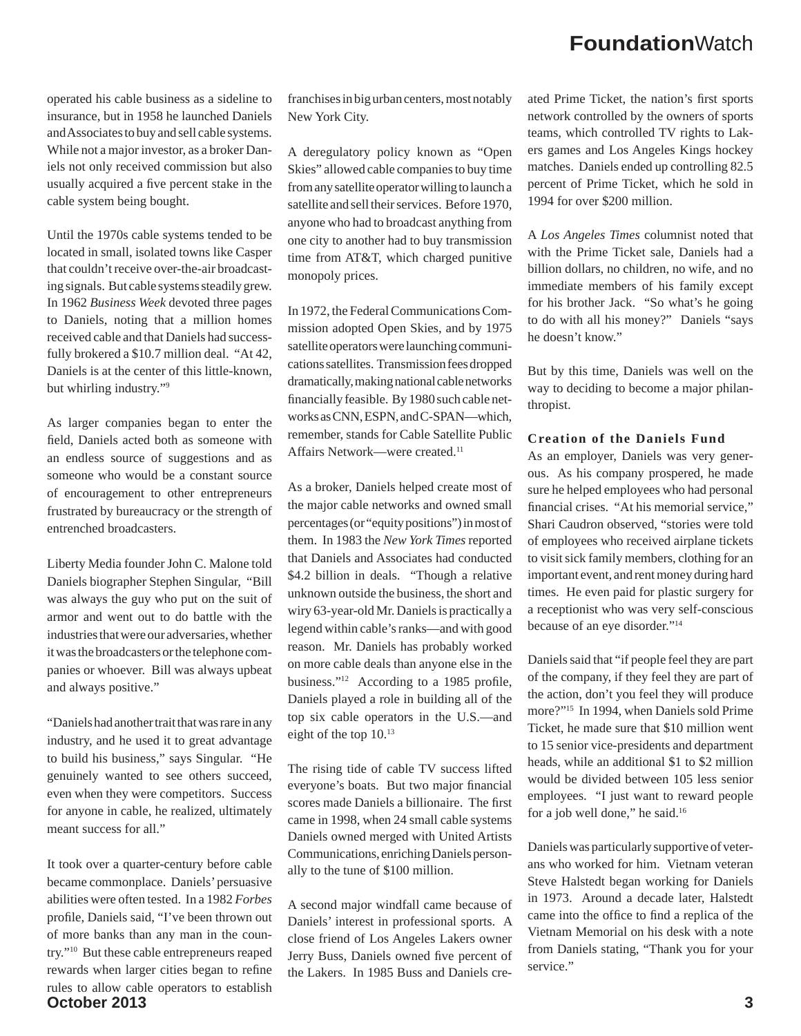operated his cable business as a sideline to insurance, but in 1958 he launched Daniels and Associates to buy and sell cable systems. While not a major investor, as a broker Daniels not only received commission but also usually acquired a five percent stake in the cable system being bought.

Until the 1970s cable systems tended to be located in small, isolated towns like Casper that couldn't receive over-the-air broadcasting signals. But cable systems steadily grew. In 1962 *Business Week* devoted three pages to Daniels, noting that a million homes received cable and that Daniels had successfully brokered a \$10.7 million deal. "At 42, Daniels is at the center of this little-known, but whirling industry."9

As larger companies began to enter the field, Daniels acted both as someone with an endless source of suggestions and as someone who would be a constant source of encouragement to other entrepreneurs frustrated by bureaucracy or the strength of entrenched broadcasters.

Liberty Media founder John C. Malone told Daniels biographer Stephen Singular, "Bill was always the guy who put on the suit of armor and went out to do battle with the industries that were our adversaries, whether it was the broadcasters or the telephone companies or whoever. Bill was always upbeat and always positive."

"Daniels had another trait that was rare in any industry, and he used it to great advantage to build his business," says Singular. "He genuinely wanted to see others succeed, even when they were competitors. Success for anyone in cable, he realized, ultimately meant success for all."

**October 2013 3** It took over a quarter-century before cable became commonplace. Daniels' persuasive abilities were often tested. In a 1982 *Forbes* profile, Daniels said, "I've been thrown out of more banks than any man in the country."10 But these cable entrepreneurs reaped rewards when larger cities began to refine rules to allow cable operators to establish

franchises in big urban centers, most notably New York City.

A deregulatory policy known as "Open Skies" allowed cable companies to buy time from any satellite operator willing to launch a satellite and sell their services. Before 1970, anyone who had to broadcast anything from one city to another had to buy transmission time from AT&T, which charged punitive monopoly prices.

In 1972, the Federal Communications Commission adopted Open Skies, and by 1975 satellite operators were launching communications satellites. Transmission fees dropped dramatically, making national cable networks financially feasible. By 1980 such cable networks as CNN, ESPN, and C-SPAN—which, remember, stands for Cable Satellite Public Affairs Network—were created.<sup>11</sup>

As a broker, Daniels helped create most of the major cable networks and owned small percentages (or "equity positions") in most of them. In 1983 the *New York Times* reported that Daniels and Associates had conducted \$4.2 billion in deals. "Though a relative unknown outside the business, the short and wiry 63-year-old Mr. Daniels is practically a legend within cable's ranks—and with good reason. Mr. Daniels has probably worked on more cable deals than anyone else in the business." $12$  According to a 1985 profile, Daniels played a role in building all of the top six cable operators in the U.S.—and eight of the top 10.13

The rising tide of cable TV success lifted everyone's boats. But two major financial scores made Daniels a billionaire. The first came in 1998, when 24 small cable systems Daniels owned merged with United Artists Communications, enriching Daniels personally to the tune of \$100 million.

A second major windfall came because of Daniels' interest in professional sports. A close friend of Los Angeles Lakers owner Jerry Buss, Daniels owned five percent of the Lakers. In 1985 Buss and Daniels created Prime Ticket, the nation's first sports network controlled by the owners of sports teams, which controlled TV rights to Lakers games and Los Angeles Kings hockey matches. Daniels ended up controlling 82.5 percent of Prime Ticket, which he sold in 1994 for over \$200 million.

A *Los Angeles Times* columnist noted that with the Prime Ticket sale, Daniels had a billion dollars, no children, no wife, and no immediate members of his family except for his brother Jack. "So what's he going to do with all his money?" Daniels "says he doesn't know."

But by this time, Daniels was well on the way to deciding to become a major philanthropist.

### **Creation of the Daniels Fund**

As an employer, Daniels was very generous. As his company prospered, he made sure he helped employees who had personal financial crises. "At his memorial service," Shari Caudron observed, "stories were told of employees who received airplane tickets to visit sick family members, clothing for an important event, and rent money during hard times. He even paid for plastic surgery for a receptionist who was very self-conscious because of an eye disorder."14

Daniels said that "if people feel they are part of the company, if they feel they are part of the action, don't you feel they will produce more?"15 In 1994, when Daniels sold Prime Ticket, he made sure that \$10 million went to 15 senior vice-presidents and department heads, while an additional \$1 to \$2 million would be divided between 105 less senior employees. "I just want to reward people for a job well done," he said.<sup>16</sup>

Daniels was particularly supportive of veterans who worked for him. Vietnam veteran Steve Halstedt began working for Daniels in 1973. Around a decade later, Halstedt came into the office to find a replica of the Vietnam Memorial on his desk with a note from Daniels stating, "Thank you for your service."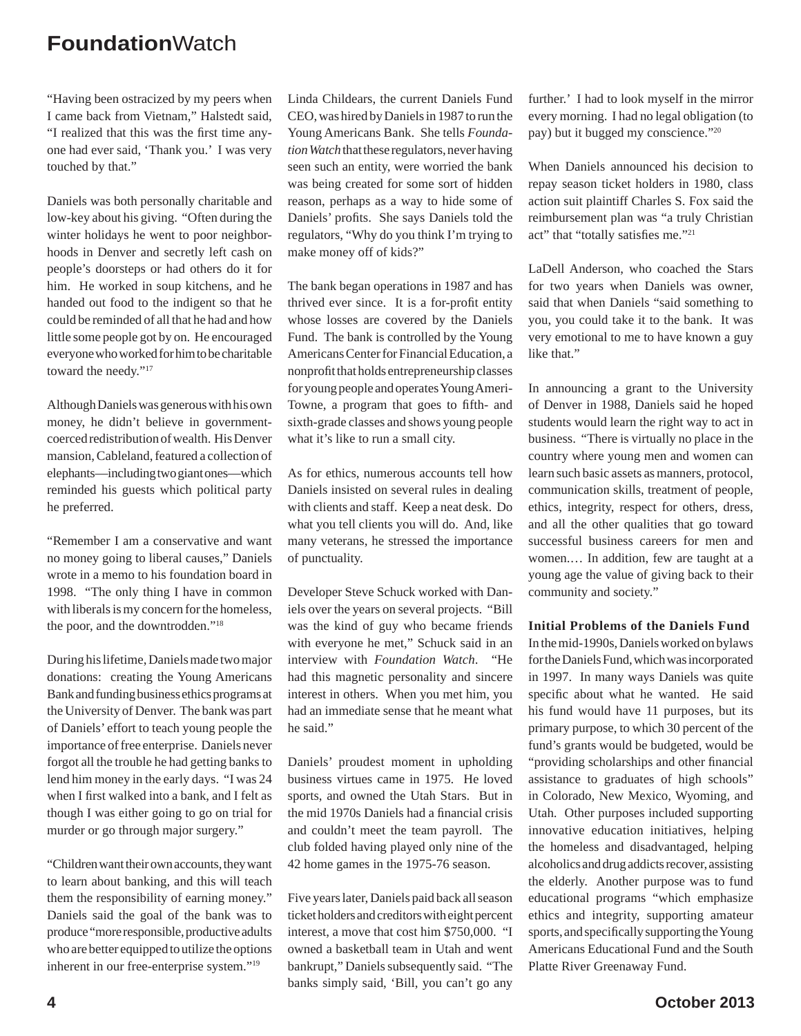"Having been ostracized by my peers when I came back from Vietnam," Halstedt said, "I realized that this was the first time anyone had ever said, 'Thank you.' I was very touched by that."

Daniels was both personally charitable and low-key about his giving. "Often during the winter holidays he went to poor neighborhoods in Denver and secretly left cash on people's doorsteps or had others do it for him. He worked in soup kitchens, and he handed out food to the indigent so that he could be reminded of all that he had and how little some people got by on. He encouraged everyone who worked for him to be charitable toward the needy."17

Although Daniels was generous with his own money, he didn't believe in governmentcoerced redistribution of wealth. His Denver mansion, Cableland, featured a collection of elephants—including two giant ones—which reminded his guests which political party he preferred.

"Remember I am a conservative and want no money going to liberal causes," Daniels wrote in a memo to his foundation board in 1998. "The only thing I have in common with liberals is my concern for the homeless, the poor, and the downtrodden."18

During his lifetime, Daniels made two major donations: creating the Young Americans Bank and funding business ethics programs at the University of Denver. The bank was part of Daniels' effort to teach young people the importance of free enterprise. Daniels never forgot all the trouble he had getting banks to lend him money in the early days. "I was 24 when I first walked into a bank, and I felt as though I was either going to go on trial for murder or go through major surgery."

"Children want their own accounts, they want to learn about banking, and this will teach them the responsibility of earning money." Daniels said the goal of the bank was to produce "more responsible, productive adults who are better equipped to utilize the options inherent in our free-enterprise system."19

Linda Childears, the current Daniels Fund CEO, was hired by Daniels in 1987 to run the Young Americans Bank. She tells *Foundation Watch* that these regulators, never having seen such an entity, were worried the bank was being created for some sort of hidden reason, perhaps as a way to hide some of Daniels' profits. She says Daniels told the regulators, "Why do you think I'm trying to make money off of kids?"

The bank began operations in 1987 and has thrived ever since. It is a for-profit entity whose losses are covered by the Daniels Fund. The bank is controlled by the Young Americans Center for Financial Education, a nonprofit that holds entrepreneurship classes for young people and operates Young Ameri-Towne, a program that goes to fifth- and sixth-grade classes and shows young people what it's like to run a small city.

As for ethics, numerous accounts tell how Daniels insisted on several rules in dealing with clients and staff. Keep a neat desk. Do what you tell clients you will do. And, like many veterans, he stressed the importance of punctuality.

Developer Steve Schuck worked with Daniels over the years on several projects. "Bill was the kind of guy who became friends with everyone he met," Schuck said in an interview with *Foundation Watch*. "He had this magnetic personality and sincere interest in others. When you met him, you had an immediate sense that he meant what he said."

Daniels' proudest moment in upholding business virtues came in 1975. He loved sports, and owned the Utah Stars. But in the mid 1970s Daniels had a financial crisis and couldn't meet the team payroll. The club folded having played only nine of the 42 home games in the 1975-76 season.

Five years later, Daniels paid back all season ticket holders and creditors with eight percent interest, a move that cost him \$750,000. "I owned a basketball team in Utah and went bankrupt," Daniels subsequently said. "The banks simply said, 'Bill, you can't go any

further.' I had to look myself in the mirror every morning. I had no legal obligation (to pay) but it bugged my conscience."20

When Daniels announced his decision to repay season ticket holders in 1980, class action suit plaintiff Charles S. Fox said the reimbursement plan was "a truly Christian act" that "totally satisfies me."<sup>21</sup>

LaDell Anderson, who coached the Stars for two years when Daniels was owner, said that when Daniels "said something to you, you could take it to the bank. It was very emotional to me to have known a guy like that."

In announcing a grant to the University of Denver in 1988, Daniels said he hoped students would learn the right way to act in business. "There is virtually no place in the country where young men and women can learn such basic assets as manners, protocol, communication skills, treatment of people, ethics, integrity, respect for others, dress, and all the other qualities that go toward successful business careers for men and women.… In addition, few are taught at a young age the value of giving back to their community and society."

**Initial Problems of the Daniels Fund**

In the mid-1990s, Daniels worked on bylaws for the Daniels Fund, which was incorporated in 1997. In many ways Daniels was quite specific about what he wanted. He said his fund would have 11 purposes, but its primary purpose, to which 30 percent of the fund's grants would be budgeted, would be "providing scholarships and other financial assistance to graduates of high schools" in Colorado, New Mexico, Wyoming, and Utah. Other purposes included supporting innovative education initiatives, helping the homeless and disadvantaged, helping alcoholics and drug addicts recover, assisting the elderly. Another purpose was to fund educational programs "which emphasize ethics and integrity, supporting amateur sports, and specifically supporting the Young Americans Educational Fund and the South Platte River Greenaway Fund.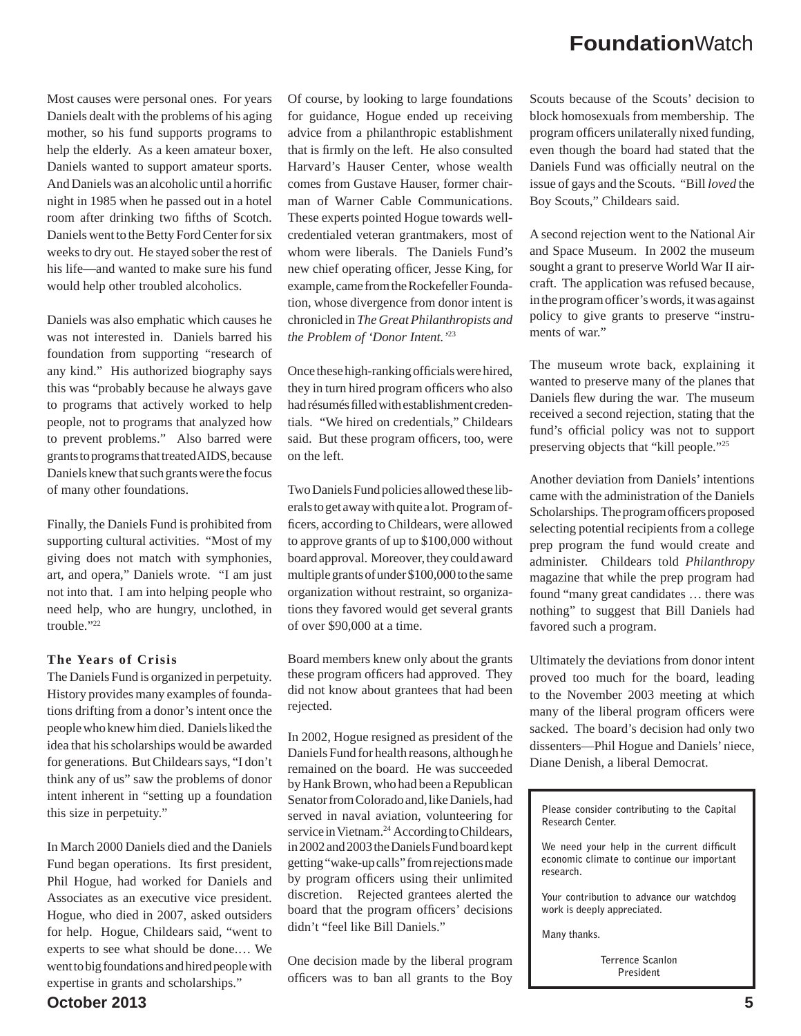Most causes were personal ones. For years Daniels dealt with the problems of his aging mother, so his fund supports programs to help the elderly. As a keen amateur boxer, Daniels wanted to support amateur sports. And Daniels was an alcoholic until a horrific night in 1985 when he passed out in a hotel room after drinking two fifths of Scotch. Daniels went to the Betty Ford Center for six weeks to dry out. He stayed sober the rest of his life—and wanted to make sure his fund would help other troubled alcoholics.

Daniels was also emphatic which causes he was not interested in. Daniels barred his foundation from supporting "research of any kind." His authorized biography says this was "probably because he always gave to programs that actively worked to help people, not to programs that analyzed how to prevent problems." Also barred were grants to programs that treated AIDS, because Daniels knew that such grants were the focus of many other foundations.

Finally, the Daniels Fund is prohibited from supporting cultural activities. "Most of my giving does not match with symphonies, art, and opera," Daniels wrote. "I am just not into that. I am into helping people who need help, who are hungry, unclothed, in trouble."<sup>22</sup>

#### **The Years of Crisis**

The Daniels Fund is organized in perpetuity. History provides many examples of foundations drifting from a donor's intent once the people who knew him died. Daniels liked the idea that his scholarships would be awarded for generations. But Childears says, "I don't think any of us" saw the problems of donor intent inherent in "setting up a foundation this size in perpetuity."

In March 2000 Daniels died and the Daniels Fund began operations. Its first president, Phil Hogue, had worked for Daniels and Associates as an executive vice president. Hogue, who died in 2007, asked outsiders for help. Hogue, Childears said, "went to experts to see what should be done.… We went to big foundations and hired people with expertise in grants and scholarships."

Of course, by looking to large foundations for guidance, Hogue ended up receiving advice from a philanthropic establishment that is firmly on the left. He also consulted Harvard's Hauser Center, whose wealth comes from Gustave Hauser, former chairman of Warner Cable Communications. These experts pointed Hogue towards wellcredentialed veteran grantmakers, most of whom were liberals. The Daniels Fund's new chief operating officer, Jesse King, for example, came from the Rockefeller Foundation, whose divergence from donor intent is chronicled in *The Great Philanthropists and the Problem of 'Donor Intent.'*<sup>23</sup>

Once these high-ranking officials were hired, they in turn hired program officers who also had résumés filled with establishment credentials. "We hired on credentials," Childears said. But these program officers, too, were on the left.

Two Daniels Fund policies allowed these liberals to get away with quite a lot. Program officers, according to Childears, were allowed to approve grants of up to \$100,000 without board approval. Moreover, they could award multiple grants of under \$100,000 to the same organization without restraint, so organizations they favored would get several grants of over \$90,000 at a time.

Board members knew only about the grants these program officers had approved. They did not know about grantees that had been rejected.

In 2002, Hogue resigned as president of the Daniels Fund for health reasons, although he remained on the board. He was succeeded by Hank Brown, who had been a Republican Senator from Colorado and, like Daniels, had served in naval aviation, volunteering for service in Vietnam.<sup>24</sup> According to Childears, in 2002 and 2003 the Daniels Fund board kept getting "wake-up calls" from rejections made by program officers using their unlimited discretion. Rejected grantees alerted the board that the program officers' decisions didn't "feel like Bill Daniels."

One decision made by the liberal program officers was to ban all grants to the Boy

Scouts because of the Scouts' decision to block homosexuals from membership. The program officers unilaterally nixed funding, even though the board had stated that the Daniels Fund was officially neutral on the issue of gays and the Scouts. "Bill *loved* the Boy Scouts," Childears said.

A second rejection went to the National Air and Space Museum. In 2002 the museum sought a grant to preserve World War II aircraft. The application was refused because, in the program officer's words, it was against policy to give grants to preserve "instruments of war."

The museum wrote back, explaining it wanted to preserve many of the planes that Daniels flew during the war. The museum received a second rejection, stating that the fund's official policy was not to support preserving objects that "kill people."25

Another deviation from Daniels' intentions came with the administration of the Daniels Scholarships. The program officers proposed selecting potential recipients from a college prep program the fund would create and administer. Childears told *Philanthropy* magazine that while the prep program had found "many great candidates … there was nothing" to suggest that Bill Daniels had favored such a program.

Ultimately the deviations from donor intent proved too much for the board, leading to the November 2003 meeting at which many of the liberal program officers were sacked. The board's decision had only two dissenters—Phil Hogue and Daniels' niece, Diane Denish, a liberal Democrat.

**Please consider contributing to the Capital Research Center.**

We need your help in the current difficult **economic climate to continue our important research.** 

**Your contribution to advance our watchdog work is deeply appreciated.** 

**Many thanks.** 

**Terrence Scanlon President**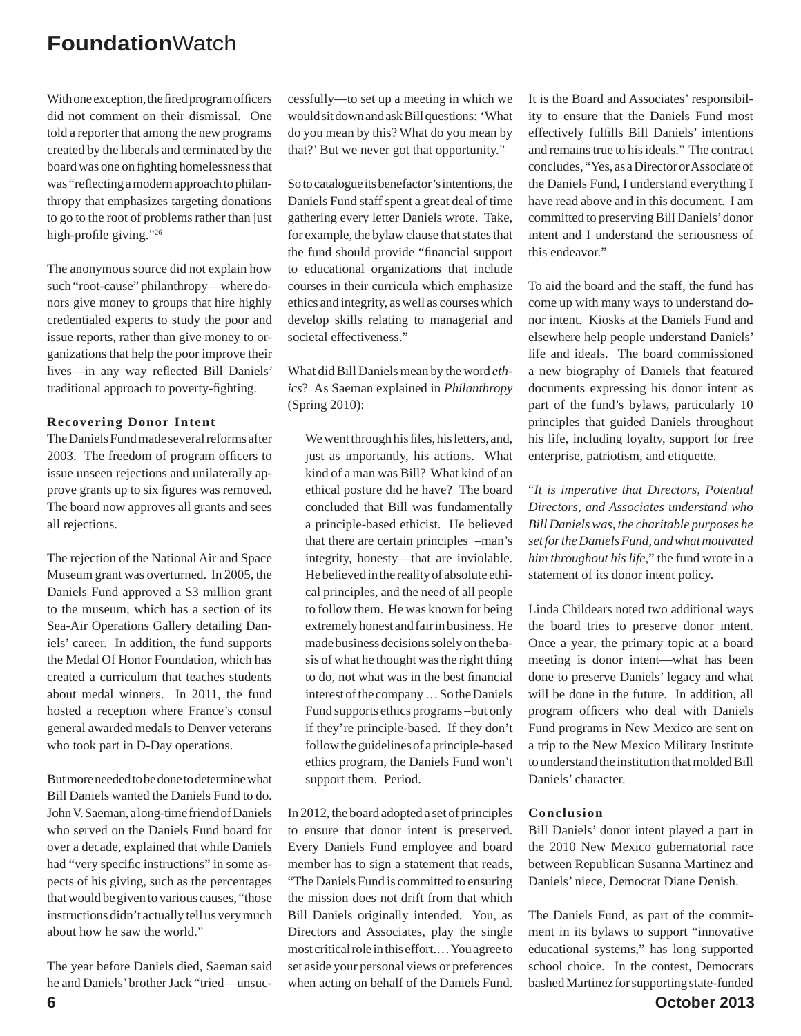With one exception, the fired program officers did not comment on their dismissal. One told a reporter that among the new programs created by the liberals and terminated by the board was one on fighting homelessness that was "reflecting a modern approach to philanthropy that emphasizes targeting donations to go to the root of problems rather than just high-profile giving." $26$ 

The anonymous source did not explain how such "root-cause" philanthropy—where donors give money to groups that hire highly credentialed experts to study the poor and issue reports, rather than give money to organizations that help the poor improve their lives—in any way reflected Bill Daniels' traditional approach to poverty-fighting.

#### **Recovering Donor Intent**

The Daniels Fund made several reforms after 2003. The freedom of program officers to issue unseen rejections and unilaterally approve grants up to six figures was removed. The board now approves all grants and sees all rejections.

The rejection of the National Air and Space Museum grant was overturned. In 2005, the Daniels Fund approved a \$3 million grant to the museum, which has a section of its Sea-Air Operations Gallery detailing Daniels' career. In addition, the fund supports the Medal Of Honor Foundation, which has created a curriculum that teaches students about medal winners. In 2011, the fund hosted a reception where France's consul general awarded medals to Denver veterans who took part in D-Day operations.

But more needed to be done to determine what Bill Daniels wanted the Daniels Fund to do. John V. Saeman, a long-time friend of Daniels who served on the Daniels Fund board for over a decade, explained that while Daniels had "very specific instructions" in some aspects of his giving, such as the percentages that would be given to various causes, "those instructions didn't actually tell us very much about how he saw the world."

The year before Daniels died, Saeman said he and Daniels' brother Jack "tried—unsuccessfully—to set up a meeting in which we would sit down and ask Bill questions: 'What do you mean by this? What do you mean by that?' But we never got that opportunity."

So to catalogue its benefactor's intentions, the Daniels Fund staff spent a great deal of time gathering every letter Daniels wrote. Take, for example, the bylaw clause that states that the fund should provide "financial support to educational organizations that include courses in their curricula which emphasize ethics and integrity, as well as courses which develop skills relating to managerial and societal effectiveness."

What did Bill Daniels mean by the word *ethics*? As Saeman explained in *Philanthropy* (Spring 2010):

We went through his files, his letters, and, just as importantly, his actions. What kind of a man was Bill? What kind of an ethical posture did he have? The board concluded that Bill was fundamentally a principle-based ethicist. He believed that there are certain principles –man's integrity, honesty—that are inviolable. He believed in the reality of absolute ethical principles, and the need of all people to follow them. He was known for being extremely honest and fair in business. He made business decisions solely on the basis of what he thought was the right thing to do, not what was in the best financial interest of the company … So the Daniels Fund supports ethics programs –but only if they're principle-based. If they don't follow the guidelines of a principle-based ethics program, the Daniels Fund won't support them. Period.

In 2012, the board adopted a set of principles to ensure that donor intent is preserved. Every Daniels Fund employee and board member has to sign a statement that reads, "The Daniels Fund is committed to ensuring the mission does not drift from that which Bill Daniels originally intended. You, as Directors and Associates, play the single most critical role in this effort.… You agree to set aside your personal views or preferences when acting on behalf of the Daniels Fund. It is the Board and Associates' responsibility to ensure that the Daniels Fund most effectively fulfills Bill Daniels' intentions and remains true to his ideals." The contract concludes, "Yes, as a Director or Associate of the Daniels Fund, I understand everything I have read above and in this document. I am committed to preserving Bill Daniels' donor intent and I understand the seriousness of this endeavor."

To aid the board and the staff, the fund has come up with many ways to understand donor intent. Kiosks at the Daniels Fund and elsewhere help people understand Daniels' life and ideals. The board commissioned a new biography of Daniels that featured documents expressing his donor intent as part of the fund's bylaws, particularly 10 principles that guided Daniels throughout his life, including loyalty, support for free enterprise, patriotism, and etiquette.

"*It is imperative that Directors, Potential Directors, and Associates understand who Bill Daniels was, the charitable purposes he set for the Daniels Fund, and what motivated him throughout his life*," the fund wrote in a statement of its donor intent policy.

Linda Childears noted two additional ways the board tries to preserve donor intent. Once a year, the primary topic at a board meeting is donor intent—what has been done to preserve Daniels' legacy and what will be done in the future. In addition, all program officers who deal with Daniels Fund programs in New Mexico are sent on a trip to the New Mexico Military Institute to understand the institution that molded Bill Daniels' character.

#### **Conclusion**

Bill Daniels' donor intent played a part in the 2010 New Mexico gubernatorial race between Republican Susanna Martinez and Daniels' niece, Democrat Diane Denish.

The Daniels Fund, as part of the commitment in its bylaws to support "innovative educational systems," has long supported school choice. In the contest, Democrats bashed Martinez for supporting state-funded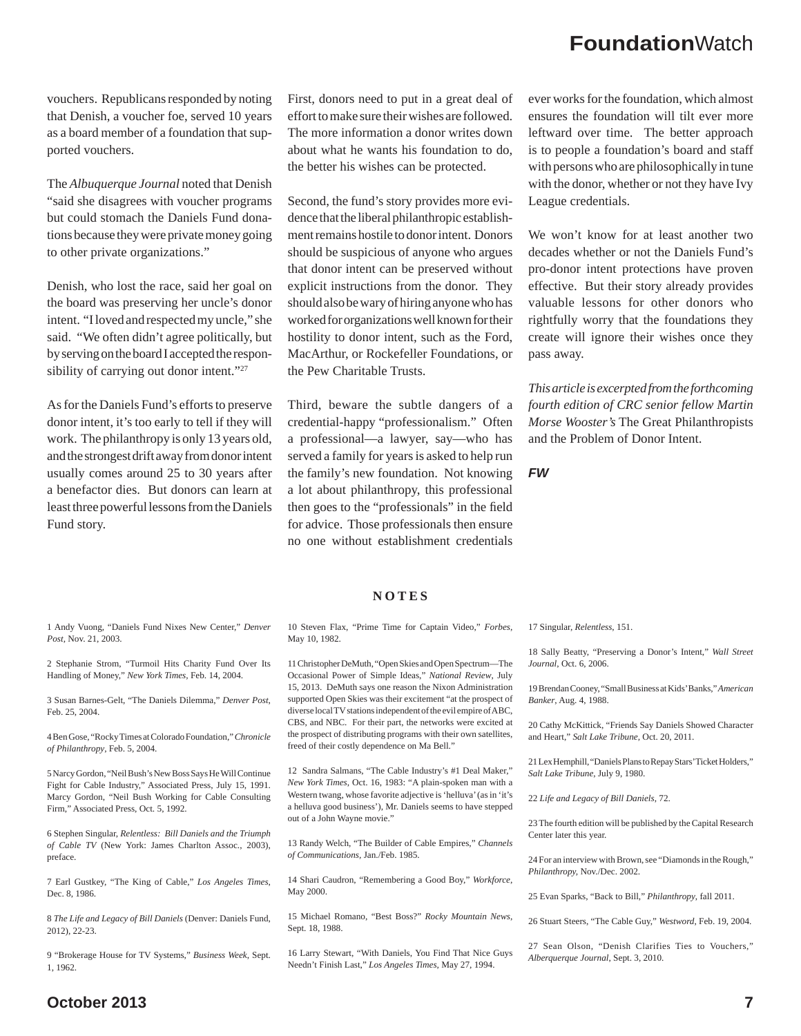vouchers. Republicans responded by noting that Denish, a voucher foe, served 10 years as a board member of a foundation that supported vouchers.

The *Albuquerque Journal* noted that Denish "said she disagrees with voucher programs but could stomach the Daniels Fund donations because they were private money going to other private organizations."

Denish, who lost the race, said her goal on the board was preserving her uncle's donor intent. "I loved and respected my uncle," she said. "We often didn't agree politically, but by serving on the board I accepted the responsibility of carrying out donor intent."<sup>27</sup>

As for the Daniels Fund's efforts to preserve donor intent, it's too early to tell if they will work. The philanthropy is only 13 years old, and the strongest drift away from donor intent usually comes around 25 to 30 years after a benefactor dies. But donors can learn at least three powerful lessons from the Daniels Fund story.

First, donors need to put in a great deal of effort to make sure their wishes are followed. The more information a donor writes down about what he wants his foundation to do, the better his wishes can be protected.

Second, the fund's story provides more evidence that the liberal philanthropic establishment remains hostile to donor intent. Donors should be suspicious of anyone who argues that donor intent can be preserved without explicit instructions from the donor. They should also be wary of hiring anyone who has worked for organizations well known for their hostility to donor intent, such as the Ford, MacArthur, or Rockefeller Foundations, or the Pew Charitable Trusts.

Third, beware the subtle dangers of a credential-happy "professionalism." Often a professional—a lawyer, say—who has served a family for years is asked to help run the family's new foundation. Not knowing a lot about philanthropy, this professional then goes to the "professionals" in the field for advice. Those professionals then ensure no one without establishment credentials ever works for the foundation, which almost ensures the foundation will tilt ever more leftward over time. The better approach is to people a foundation's board and staff with persons who are philosophically in tune with the donor, whether or not they have Ivy League credentials.

We won't know for at least another two decades whether or not the Daniels Fund's pro-donor intent protections have proven effective. But their story already provides valuable lessons for other donors who rightfully worry that the foundations they create will ignore their wishes once they pass away.

*This article is excerpted from the forthcoming fourth edition of CRC senior fellow Martin Morse Wooster's* The Great Philanthropists and the Problem of Donor Intent.

*FW*

#### **NOTES**

1 Andy Vuong, "Daniels Fund Nixes New Center," *Denver Post,* Nov. 21, 2003.

2 Stephanie Strom, "Turmoil Hits Charity Fund Over Its Handling of Money," *New York Times,* Feb. 14, 2004.

3 Susan Barnes-Gelt, "The Daniels Dilemma," *Denver Post*, Feb. 25, 2004.

4 Ben Gose, "Rocky Times at Colorado Foundation," *Chronicle of Philanthropy*, Feb. 5, 2004.

5 Narcy Gordon, "Neil Bush's New Boss Says He Will Continue Fight for Cable Industry," Associated Press, July 15, 1991. Marcy Gordon, "Neil Bush Working for Cable Consulting Firm," Associated Press, Oct. 5, 1992.

6 Stephen Singular, *Relentless: Bill Daniels and the Triumph of Cable TV* (New York: James Charlton Assoc., 2003), preface.

7 Earl Gustkey, "The King of Cable," *Los Angeles Times*, Dec. 8, 1986.

8 *The Life and Legacy of Bill Daniels* (Denver: Daniels Fund, 2012), 22-23.

9 "Brokerage House for TV Systems," *Business Week*, Sept. 1, 1962.

10 Steven Flax, "Prime Time for Captain Video," *Forbes*, May 10, 1982.

11 Christopher DeMuth, "Open Skies and Open Spectrum—The Occasional Power of Simple Ideas," *National Review*, July 15, 2013. DeMuth says one reason the Nixon Administration supported Open Skies was their excitement "at the prospect of diverse local TV stations independent of the evil empire of ABC, CBS, and NBC. For their part, the networks were excited at the prospect of distributing programs with their own satellites, freed of their costly dependence on Ma Bell."

12 Sandra Salmans, "The Cable Industry's #1 Deal Maker," *New York Times*, Oct. 16, 1983: "A plain-spoken man with a Western twang, whose favorite adjective is 'helluva' (as in 'it's a helluva good business'), Mr. Daniels seems to have stepped out of a John Wayne movie."

13 Randy Welch, "The Builder of Cable Empires," *Channels of Communications,* Jan./Feb. 1985.

14 Shari Caudron, "Remembering a Good Boy," *Workforce*, May 2000.

15 Michael Romano, "Best Boss?" *Rocky Mountain News*, Sept. 18, 1988.

16 Larry Stewart, "With Daniels, You Find That Nice Guys Needn't Finish Last," *Los Angeles Times,* May 27, 1994.

17 Singular, *Relentless*, 151.

18 Sally Beatty, "Preserving a Donor's Intent," *Wall Street Journal*, Oct. 6, 2006.

19 Brendan Cooney, "Small Business at Kids' Banks," *American Banker*, Aug. 4, 1988.

20 Cathy McKittick, "Friends Say Daniels Showed Character and Heart," *Salt Lake Tribune,* Oct. 20, 2011.

21 Lex Hemphill, "Daniels Plans to Repay Stars' Ticket Holders," *Salt Lake Tribune*, July 9, 1980.

22 *Life and Legacy of Bill Daniels*, 72.

23 The fourth edition will be published by the Capital Research Center later this year.

24 For an interview with Brown, see "Diamonds in the Rough," *Philanthropy,* Nov./Dec. 2002.

25 Evan Sparks, "Back to Bill," *Philanthropy*, fall 2011.

26 Stuart Steers, "The Cable Guy," *Westword*, Feb. 19, 2004.

27 Sean Olson, "Denish Clarifies Ties to Vouchers," *Alberquerque Journal*, Sept. 3, 2010.